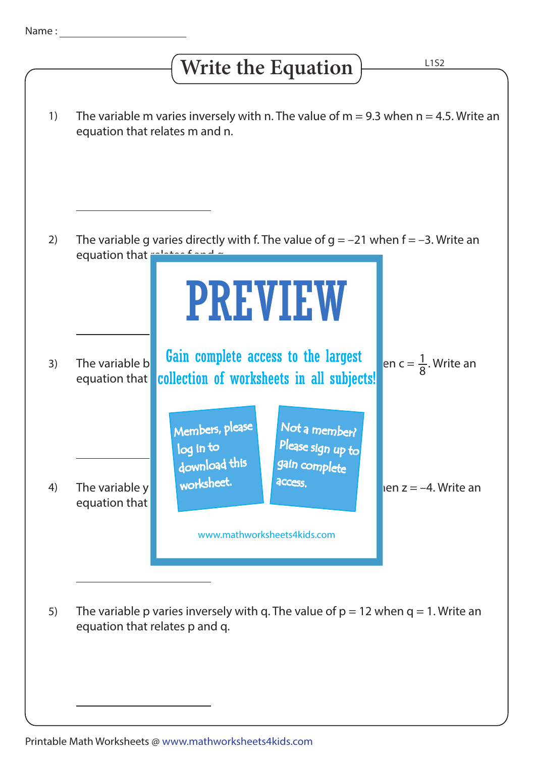## **Write the Equation**

L1S2